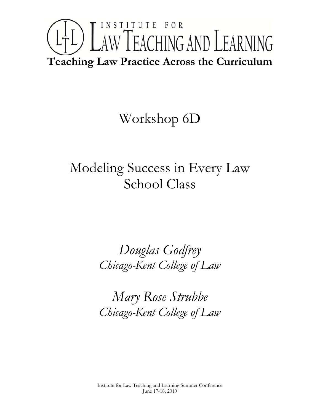

# Workshop 6D

# Modeling Success in Every Law School Class

*Douglas Godfrey Chicago-Kent College of Law* 

*Mary Rose Strubbe Chicago-Kent College of Law*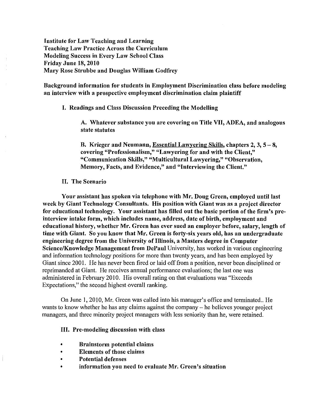Institute for Law Teaehing and Learning Teaehing Law Praetice Across the Curriculum Modeliug Success in Every Law School Class Friday June 18, 2010 Mary Rose Strubbe and Douglas William Godfrey

Background information for students in Employment Discrimination class before modeling an interview with a prospective employment discrimination claim plaintiff

I. Readings and Class Discussion Preceding the Modelling

A. Whatever substance you are covering on Title VII, ADEA, and analogous state statutes

B. Krieger and Neumann, Essential Lawyering Skills, chapters  $2, 3, 5 - 8$ , covering "Professionalism," "Lawyering for and with the Client," "Communication Skills," "Multicultural Lawyering," "Observation, Memory, Facts, and Evidence," and "Interviewing the Client."

### II. The Scenario

Your assistant has spoken via telephone with Mr. Doug Green, employed until last week by Giant Technology Consultants. His position with Giant was as a project director for educational technology. Your assistant has filled out the basic portion of the firm's preinterview intake form, which includes name, address, date of birth, employment and educational history, whether Mr. Green has ever sued an employer before, salary, length of time with Giant. So you know that Mr. Green is forty-six years old, has an undergraduate engineering degree from the University of Illinois, a Masters degree in Computer Science/Knowledge Management from DePaul University, has worked in various engineering and information technology positions for more than twenty years, and has been employed by Giant since 2001. He has never been fired or laid off from a position, never been disciplined or reprimanded at Giant. He receives annual performance evaluations; the last one was administered in February 2010. His overall rating on that evaluations was "Exceeds" Expectations," the second highest overall ranking.

On June 1,2010, Mr. Green was called into his manager's office and terminated.. He wants to know whether he has any claims against the company - he believes younger project managers, and three minority project managers with less seniority than he, were retained.

### III. Pre-modeling discussion with class

- Brainstorm potential claims
- Elements of those claims
- Potential defenses
- information you need to evaluate Mr. Green's situation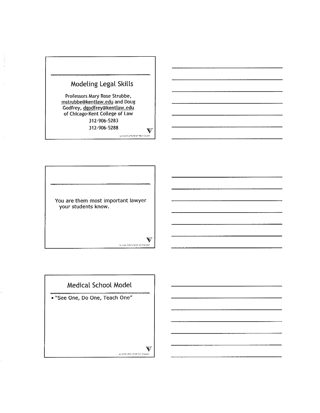



# **Medical School Model**

**• \\See One, Do One, Teach One"**

 $\hat{\mathbf{V}}$ EINSBRITIGR OF TECHNOLOGY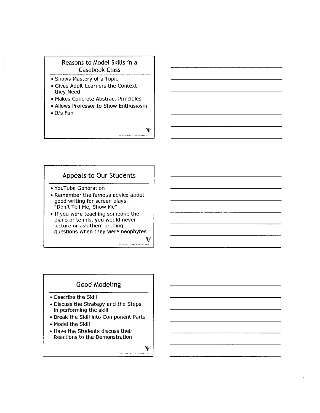## Reasons to Model Skills in a Casebook Class

- Shows Mastery of a Topic
- Gives Adult Learners the Context they Need
- Makes Concrete Abstract Principles
- Allows Professor to Show Enthusiasm
- It's Fun

Appeals to Our Students

- YouTube Generation
- Remember the famous advice about good writing for screen plays - "Don't Tell Me, Show Me"
- If you were teaching someone the piano or tennis, you would never lecture or ask them probing questions when they were neophytes

 $\sum_{\text{MMSL}}$ 

 $\bullet$ 

.<br>12/2010 13:44 12:45 14:45 14:00:00

# Good Modeling

- Describe the Skill
- Discuss the Strategy and the Steps in performing the skill
- Break the Skill into Component Parts
- Model the Skill
- Have the Students discuss their Reactions to the Demonstration

 $\mathbf{V}$ -<br>ELNOS HOTAUTE OF TECHNOLOGY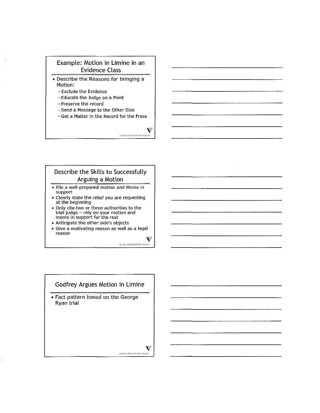### Example: Motion in Limine in an Evidence Class

- Describe the Reasons for bringing a Motion:
	- Exclude the Evidence
	- Educate the Judge on a Point
	- **Preserve the record**
	- Send a Message to the Other Side
	- **Get a Matter in the Record for the Press**

 $\bar{\mathbf{V}}$ .<br>MASSING MUSE OF TECHNOLOGY

## Describe the Skills to Successfully Arguing a Motion

- **• File a well-prepared motion and Memo in** support
- Clearly state the relief you are requesting at the beginning
- **• Only cite two or three authorities to the** trial judge - rely on your motion and **memo in support for the rest**
- **• Anticipate the other side's objects**
- **• Give a motivating reason as well as a legal reason**

٣ .<br>Terros mentos de technología

### Godfrey Argues Motion in Limine

• Fact pattern based on the George Ryan trial

 $\mathbb{I}$ 

 $\mathbf{F}$ -<br>INVESTIGATION OF TECHNOLOGY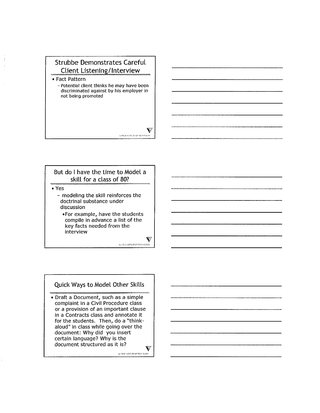# Strubbe Demonstrates Careful Client Listening/Interview

- Fact Pattern

- Potential client thinks he may have been **discriminated against by his employer in** not being promoted

But do I have the time to Model a skill for a class of 80? **• Yes**

- modeling the skill reinforces the doctrinal substance under discussion

-For example, have the students compile in advance a list of the key facts needed from the interview

V

CLINOIS INTRAVER OF TECHNOLOGY

### Quick Ways to Model Other Skills

- Draft a Document, such as a simple complaint in a Civil Procedure class or a provision of an important clause in a Contracts class and annotate it for the students. Then, do a "thinkaloud" in class while going over the document: Why did you insert certain language? Why is the document structured as it is? $\hat{\mathbf{v}}$ 

ł

42-NON-RATE-DRIVER OF TECHNOLOGY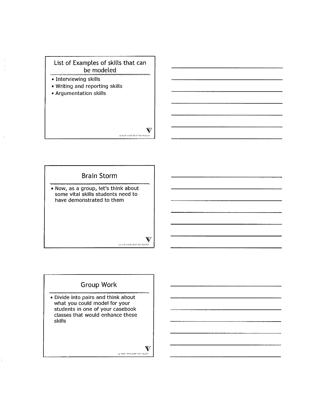



# **Group Work**

• Divide into pairs and think about what you could model for your students in one of your casebook classes that would enhance these skills

#### $\hat{V}$ SLINDS HISTAUTE OF TECHNOLOGY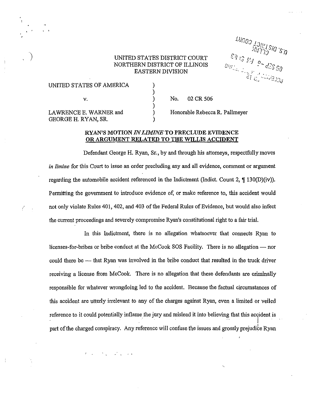### UNITED STATES DISTRICT COURT NORTHERN DISTRICT OF ILLINOIS EASTERN DIVISION

) ) ) ) ) )

**UROS LOINLSIO 'S A**<br>WISTS SO 'S A<br>SA IS MA P - 43S SO<br>SA LL LL LL LL LL LL

| UNITED STATES OF AMERICA                      |  |
|-----------------------------------------------|--|
| V.                                            |  |
| LAWRENCE E. WARNER and<br>GEORGE H. RYAN, SR. |  |

· ,

Ť

Honorable Rebecca R. Pallmeyer No. 02 CR 506

### RYAN'S MOTION *INLIMINE* TO PRECLUDE EVIDENCE OR ARGUMENT RELATED TO THE WILLIS ACCIDENT

Defendant George H. Ryan, Sr., by and through his attorneys, respectfully moves *in limine* for this Court to issue an order precluding any and all evidence, comment or argument regarding the automobile accident referenced in the Indictment (Indict. Count 2,  $\P$  130(D)(iv)). Pennitting the government to introduce evidence of, or make reference to, this accident would not only violate Rules 401, 402, and 403 of the Federal Rules of Evidence, but would also infect the current proceedings and severely compromise Ryan's constitutional right to a fair trial.

In this Indictment, there is no allegation whatsoever that connects Ryan to licenses-for-bribes or bribe conduct at the McCook SOS Facility. There is no allegation — nor could there be — that Ryan was involved in the bribe conduct that resulted in the truck driver receiving a license from McCook. There is no allegation that these defendants are criminally responsible for whatever wrongdoing led to the accident. Because the factual circumstances of this accident are utterly irrelevant to any of the charges against Ryan, even a limited or veiled reference to it could potentially inflame the jury and mislead it into believing that this accident is part of the charged conspiracy. Any reference will confuse the issues and grossly prejudice Ryan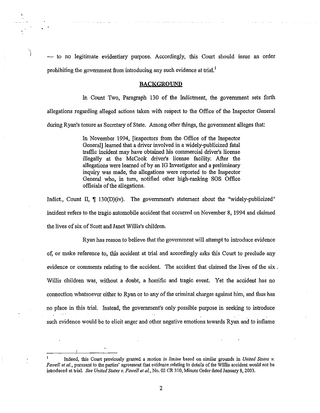$-$  to no legitimate evidentiary purpose. Accordingly, this Court should issue an order prohibiting the government from introducing any such evidence at trial.'

#### BACKGROUND

In Count Two, Paragraph 130 of the Indictment, the government sets forth allegations regarding alleged actions taken with respect to the Office of the Inspector General

during Ryan's tenure as Secretary of State. Among other things, the government alleges that:

In November 1994, [inspectors from the Office of the Inspector General] learned that a driver involved in a widely-publicized fatal traffic incident may have obtained his commercial driver's license illegally at the McCook driver's license facility. After the allegations were learned of by an IG Investigator and a preliminary inquiry was made, the allegations were reported to the Inspector General who, in tum, notified other high-ranking SOS Office officials of the allegations.

Indict., Count II,  $\parallel$  130(D)(iv). The government's statement about the "widely-publicized" incident refers to the tragic automobile accident that occurred on November 8, 1994 and claimed the lives of six of Scott and Janet Willis's children.

Ryan has reason to believe that the government will attempt to introduce evidence of, or make reference to, this accident at trial and accordingly asks this Court to preclude any evidence or comments relating to the accident. The accident that claimed the lives of the six. Willis children was, without a doubt, a horrific and tragic event. Yet the accident has no connection whatsoever either to Ryan or to any of the criminal charges against him, and thus has no place in this trial. Instead, the government's only possible purpose in seeking to introduce such evidence would be to elicit anger and other negative emotions towards Ryan and to inflame

Indeed, this Court previously granted a motion *in limine* based on similar grounds in *United Stales v. Fawell el al.,* pursuant to the parties' agreement that evidence relating to details of the Willis accident would not be introduced at trial. *See Uniled Siales v. Fawell el al.,* No. 02 CR 310, Minute Order dated January 8,2003.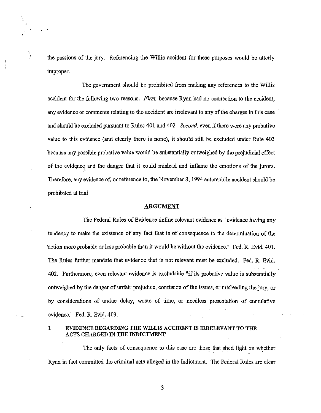) the passions of the jury. Referencing the Willis accident for these purposes would be utterly improper.

,

The government should be prohibited from making any references to the Willis accident for the following two reasons, *First,* because Ryan had no connection to the accident, any evidence or comments relating to the accident are irrelevant to any ofthe charges in this case and should be excluded pursuant to Rules 401 and 402. *Second*, even if there were any probative value to this evidence (and clearly there is none), it should still be excluded under Rule 403 because any possible probative value would be substantially outweighed by the prejudicial effect of the evidence and the danger that it could mislead and inflame the emotions of the jurors, Therefore, any evidence of, or reference to, the November 8, 1994 automobile accident should be prohibited at trial,

#### ARGUMENT

The Federal Rules of Evidence define relevant evidence as "evidence having any tendency to make the existence of any fact that is of consequence to the determination of the 'action more probable or less probable than it would be without the evidence." Fed, R. Evid. 401. The Rules further mandate that evidence that is not relevant must be excluded. Fed, R, Evid. 402. Furthermore, even relevant evidence is excludable "if its probative value is substantially outweighed by the danger of unfair prejudice, confusion ofthe issues, or misleading the jury, or by considerations of undue delay, waste of time, or needless presentation of cumulative evidence," Fed. R. Evid, 403.

### I. EVIDENCE REGARDING THE WILLIS ACCIDENT IS IRRELEVANT TO THE ACTS CHARGED IN THE INDICTMENT

The only facts of consequence to this case are those that shed light on whether Ryan in fact committed the criminal acts alleged in the Indictment. The Federal Rules are clear

3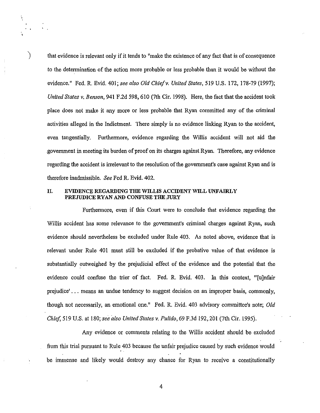) that evidence is relevant only if it tends to "make the existence of any fact that is of consequence to the determination of the action more probable or less probable than it would be without the evidence." Fed. R. Evid. 401; *see also Old Chiefv. United States,* 519 U.S. 172, 178-79 (1997); *United States v. Benson,* 941 F.2d 598, 610 (7th Cir. 1998). Here, the fact that the accident took place does not make it any more or less probable that Ryan committed any of the criminal activities alleged in the Indictment. There simply is no evidence linking Ryan to the accident, even tangentially. Furthermore, evidence regarding the Willis accident will not aid the government in meeting its burden of proof on its charges against Ryan. Therefore, any evidence regarding the accident is irrelevant to the resolution of the government's case against Ryan and is therefore inadmissible. *See* Fed R. Evid. 402.

### n. EVIDENCE REGARDING THE WILLIS ACCIDENT WILL UNFAlRLY PREJUDICE RYAN AND CONFUSE THE JURY

Furthermore, even if this Court were to conclude that evidence regarding the Willis accident has some relevance to the government's criminal charges against Ryan, such evidence should nevertheless be excluded under Rule 403. As noted above, evidence that is relevant under Rule 401 must *still* be excluded if the probative value of that evidence is substantially outweighed by the prejudicial effect of the evidence and the potential that the evidence could confuse the trier of fact. Fed. R. Evid. 403. In this context, "'(u]nfair prejudice' ... means an undue tendency to suggest decision on an improper basis, commonly, though not necessarily, an emotional one." Fed. R. Evid. 403 advisory committee's note; *Old Chief,* 519 U.S. at 180; *see dso United States v. Pulido,* 69 F.3d 192,201 (7th Cir. 1995).

Any evidence or comments relating to the Willis accident should be excluded from this trial pursuant to Rule 403 because the unfair prejudice caused by such evidence would be immense and likely would destroy any chance for Ryan to receive a constitutionally

4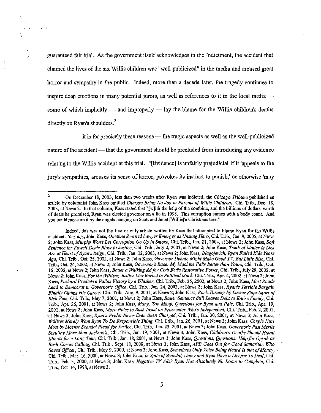) guaranteed fair trial. As the government itself acknowledges in the Indictment, the accident that claimed the lives of the six Willis children was "well-publicized" in the media and aroused great horror and sympathy in the public. Indeed, more than a decade later, the tragedy continues to inspire deep emotions in many potential jurors, as well as references to it in the local media  $$ some of which implicitly  $-$  and improperly  $-$  lay the blame for the Willis children's deaths directly on Ryan's shoulders.<sup>2</sup>

It is for precisely these reasons  $-$  the tragic aspects as well as the well-publicized nature of the accident — that the government should be precluded from introducing any evidence relating to the Willis accident at this trial. "[Evidence] is unfairly prejudicial ifit 'appeals to the jury's sympathies, arouses its sense of horror, provokes its instinct to punish,' or otherwise 'may

<sup>2</sup> On December 18, 2003, less than two weeks after Ryan was indicted, the *Chicago Tribune* published an article by columnist John Kass entitled *Charges Bring No Joy to Parents of Willis Children.* Chi. Trib., Dec. 18, 2003, at News 2. In that column, Kass stated that "[wlith the help of the combine, and the billions of dollars' worth of deals he promised, Ryan was elected governor on a lie in 1998. This corruption comes with a body count. And you could measure it by the angels hanging on Scott and Janet [Willis]'s Christmas tree."

Indeed, this was not the first or only article written by Kass that attempted to blame Ryan for the Willis accident. *See, e.g.,* John Kass, *Onetime Scorned Lawyer Emerges as Unsung Hero,* Chi. Trib., Jan. 9, 2005, at News 2; John Kass, *Murphy Won't Let Corruption* Go *Up in Smoke,* Chi. Trib., Jan. 21, 2004, at News 2; John Kass, *Soft Sentence for Fawel/ Deals Blow to Justice,* Chi. Trih., July 2, 2003, at News 2; John Kass, *Truth ofMatter Is Lies Are at Heart ofRyan's Reign,* Chi. Trib., Jan. 12, 2003, at News 2; John Kass, *Blagojevich, Ryan Failed Kids Years Ago,* Chi. Tn'b., Oct. 25, 2002, at News 2; John Kass, *Governor Debate Might Make Good TV, But Little Else,* Chi. Trib., Oct. 24, 2002, at News 2; John Kass, *Governor's Race: My Machine Pal's Better than Yours,* Chi. Trib., Oct. 16,2002, at News 2; John Kass, *Bauer a Walking Adfo,' Club Fed's Restorative Power,* Chi. Trib., July 29, 2002, at News 2; John Kass, *For the Wi/lises, Justice Lies Burled in Political Muck,* Chi. Trib., Apr. 4, 2002, at News 2; John Kass, *Poshard Predicts a Vallos Victory by a Whisker,* Chi. Trib., Feb. 25, 2002, at News 2; John Kass, *Most Roads Lead to Democrat in Governor's Office,* Chi. Trib., Jan. 24, 2002, at News 2; John Kass, *Ryan's Terrible Bargain Finally Claims His Career,* Chi. Trib., Aug. 9, 200 I, at News 2; John Kass, *Rock-Thrning by Lassar Stops Short of Rich Vein,* Chi. Trib., May 7,2001, at News 2; John Kass, *Bauer Sentence Still Leaves Debt to Entire Family,* Chi. Trib., Apr. 26, 2001, at News 2; John Kass, *Many, Too Many, Questions for Ryan and Pals,* Chi. Trib., Apr. 19, 2001, at News 2; John Kass, *More Notes to Bush Insist on Prosecutor Who's Independent,* Chi. Trib., Feb. 2, 2001, .at News 3; John Kass, *Ryan's Pride: Never Even Been Charged,* Chi. Trib., Jan. 30, 2001, at News 3; Jbhn Kass, . *Willises Merely Want Ryan To Do Responsible Thing,* Chi. Trib., Jan. 26, 2001, at News 3; John Kass, *Couple Hurt Most by License Scandal Plead for Justice,* Chi. Trib., Jan. 25, 200 I, at News 3; John Kass, *Governor's Past Merils Scrutiny More than Jackson's,* Chi. Trib., Jan. 19,2001, at News 3; John Kass, *Children's Deaths Should Haunt Illinoisfor a Long Time,* Chi. Trih., Jan. 18, 2001, at News 3; John Kass, *Questions, Qqesti0J1s: Help for Oprah as Bush Comes Calling,* Chi. Trib., Sept. 18,2000, at News 3; John Kass, *APB Goes Out for Good Samaritan Who Saved Officer,* Chi. Trib., May 9,2000, at News 3; John Kass, *Sometimes Oniy Voice Be"ng Heard Is that ofMoney,* . Chi. Trib., Mar. 16,2000, at News 3; John Kass, *In Spite ofScandal, Daley and Ryan Have a License To Deal,* Chi. Trib., Feb. 3, 2000, at News 3; John Kass, *Negative TV Ads? Ryan Has Absolutely No Room to Complain,* Chi. Trib., Oct. 14, 1998, at News 3.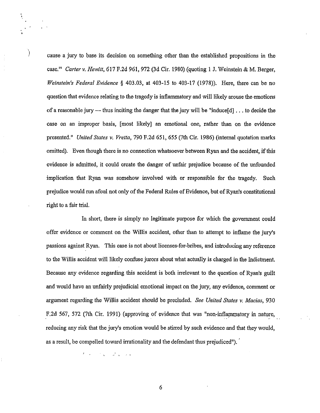) cause <sup>a</sup> jury to base its decision on something other than the established propositions in the case.'" *Carter v. Hewitt,* 617 F.2d 961, 972 (3d Cir. 1980) (quoting 1 J. Weinstein & M. Berger, *Weinstein's Federal Evidence* § 403.03, at 403-15 to 403-17 (1978)). Here, there can be no question that evidence relating to the tragedy is inflammatory and will likely arouse the emotions of a reasonable jury -- thus inciting the danger that the jury will be "induce[d]  $\dots$  to decide the case on an improper basis, [most likely] an emotional one, rather than on the evidence presented." *United States* v. *Vretta,* 790 F.2d 651, 655 (7th Cir. 1986) (internal quotation marks omitted). Even though there is no connection whatsoever between Ryan and the accident, ifthis evidence is admitted, it could create the danger of unfair prejudice because of the unfounded implication that Ryan was somehow involved with or responsible for the tragedy. Such prejudice would run afoul not only of the Federal Rules of Evidence, but of Ryan's constitutional right to a fair trial.

In short, there is simply no legitimate purpose for which the government could offer evidence or comment on the Willis accident, other than to attempt to inflame the jury's passions against Ryan. This case is not about licenses-for-bribes, and introducing any reference to the Willis accident will likely confuse jurors about what actually is charged in the Indictment. Because any evidence regarding this accident is both irrelevant to the question of Ryan's guilt and would have an unfairly prejudicial emotional impact on the jury, any evidence, comment or argument regarding the Willis accident should be precluded. *See United States* v. *Macias, 930* F.2d 567, 572 (7th Cir. 1991) (approving of evidence that was "non-inflammatory in nature, reducing any risk that the jury's emotion would be stirred by such evidence and that they would, as a result, be compelled toward irrationality and the defendant thus prejudiced").

 $\label{eq:2} \mathcal{F}(\mathbf{x}) = \mathcal{F}(\mathbf{x}) \cdot \mathcal{F}(\mathbf{x})$ 

"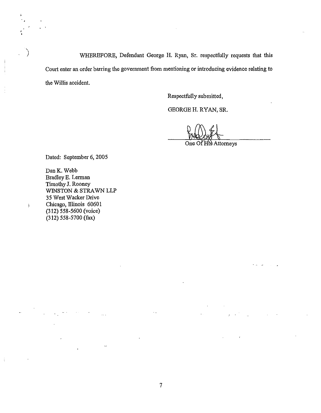WHEREFORE, Defendant George H. Ryan, Sr. respectfully requests that this Court enter an order barring the government from mentioning or introducing evidence relating to the Willis accident.

Respectfully submitted,

GEORGE H. RYAN, SR.

One Of His Attorneys

. ...

Dated: September 6, 2005

,. •

Ĵ.

DanK. Webb Bradley E. Lerman Timothy J. Rooney WINSTON & STRAWN LLP 35 West Wacker Drive Chicago, lllinois 60601 (312) 558-5600 (voice) (312) 558-5700 (fax)

 $\mathcal{L}$ 

 $\ddotsc$